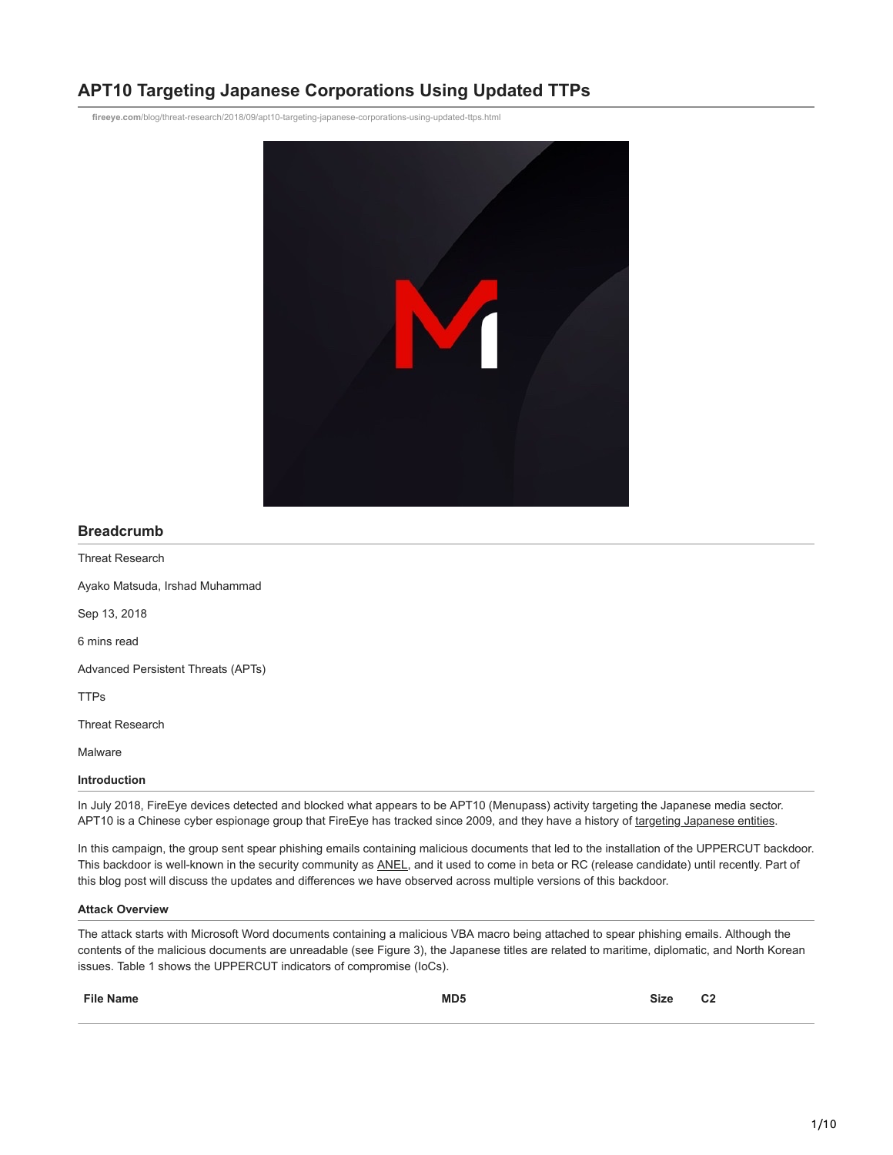# **APT10 Targeting Japanese Corporations Using Updated TTPs**

**fireeye.com**[/blog/threat-research/2018/09/apt10-targeting-japanese-corporations-using-updated-ttps.html](https://www.fireeye.com/blog/threat-research/2018/09/apt10-targeting-japanese-corporations-using-updated-ttps.html)



# **Breadcrumb**

Threat Research

Ayako Matsuda, Irshad Muhammad

Sep 13, 2018

6 mins read

Advanced Persistent Threats (APTs)

TTPs

Threat Research

Malware

# **Introduction**

In July 2018, FireEye devices detected and blocked what appears to be APT10 (Menupass) activity targeting the Japanese media sector. APT10 is a Chinese cyber espionage group that FireEye has tracked since 2009, and they have a history of [targeting Japanese entities.](https://www.fireeye.com/resources/apt10-menupass-grou)

In this campaign, the group sent spear phishing emails containing malicious documents that led to the installation of the UPPERCUT backdoor. This backdoor is well-known in the security community as [ANEL](https://www.trendmicro.com/en_us/research/18/c/chessmaster-adds-updated-tools-to-its-arsenal.html), and it used to come in beta or RC (release candidate) until recently. Part of this blog post will discuss the updates and differences we have observed across multiple versions of this backdoor.

#### **Attack Overview**

The attack starts with Microsoft Word documents containing a malicious VBA macro being attached to spear phishing emails. Although the contents of the malicious documents are unreadable (see Figure 3), the Japanese titles are related to maritime, diplomatic, and North Korean issues. Table 1 shows the UPPERCUT indicators of compromise (IoCs).

| <b>File Name</b> | MD <sub>5</sub> | <b>Size</b> | C <sub>2</sub> |
|------------------|-----------------|-------------|----------------|
|                  |                 |             |                |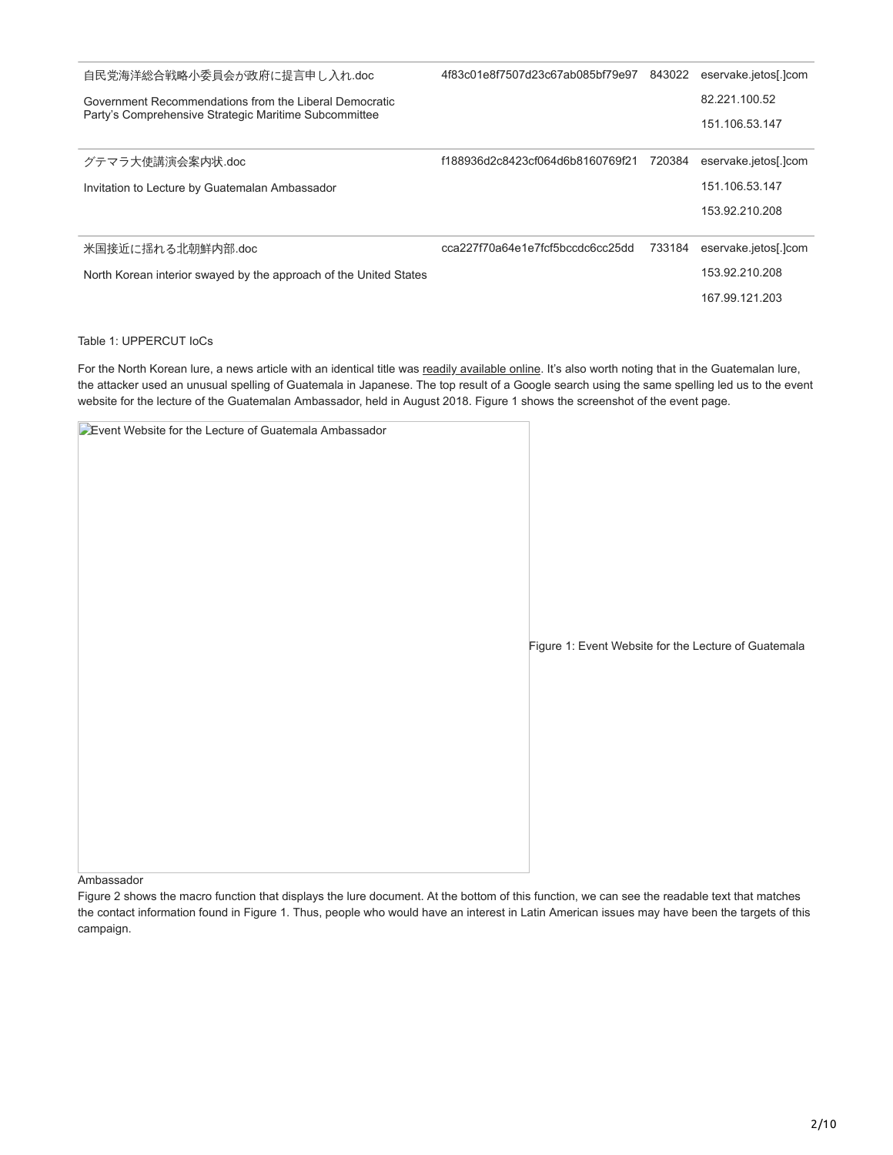| 自民党海洋総合戦略小委員会が政府に提言申し入れ.doc                                       | 4f83c01e8f7507d23c67ab085bf79e97 | 843022 | eservake.jetos[.]com |
|-------------------------------------------------------------------|----------------------------------|--------|----------------------|
| Government Recommendations from the Liberal Democratic            |                                  |        | 82.221.100.52        |
| Party's Comprehensive Strategic Maritime Subcommittee             |                                  |        | 151.106.53.147       |
| グテマラ大使講演会案内状.doc                                                  | f188936d2c8423cf064d6b8160769f21 | 720384 | eservake.jetos[.]com |
| Invitation to Lecture by Guatemalan Ambassador                    |                                  |        | 151.106.53.147       |
|                                                                   |                                  |        | 153.92.210.208       |
| 米国接近に揺れる北朝鮮内部.doc                                                 | cca227f70a64e1e7fcf5bccdc6cc25dd | 733184 | eservake.jetos[.]com |
| North Korean interior swayed by the approach of the United States |                                  |        | 153.92.210.208       |
|                                                                   |                                  |        | 167.99.121.203       |

## Table 1: UPPERCUT IoCs

For the North Korean lure, a news article with an identical title was [readily available online.](https://www.worldtimes.co.jp/column/88334.html) It's also worth noting that in the Guatemalan lure, the attacker used an unusual spelling of Guatemala in Japanese. The top result of a Google search using the same spelling led us to the event website for the lecture of the Guatemalan Ambassador, held in August 2018. Figure 1 shows the screenshot of the event page.

| <b>DEvent Website for the Lecture of Guatemala Ambassador</b> |                                                      |
|---------------------------------------------------------------|------------------------------------------------------|
|                                                               |                                                      |
|                                                               |                                                      |
|                                                               |                                                      |
|                                                               |                                                      |
|                                                               |                                                      |
|                                                               |                                                      |
|                                                               |                                                      |
|                                                               | Figure 1: Event Website for the Lecture of Guatemala |
|                                                               |                                                      |
|                                                               |                                                      |
|                                                               |                                                      |
|                                                               |                                                      |
|                                                               |                                                      |
|                                                               |                                                      |
|                                                               |                                                      |

Ambassador

Figure 2 shows the macro function that displays the lure document. At the bottom of this function, we can see the readable text that matches the contact information found in Figure 1. Thus, people who would have an interest in Latin American issues may have been the targets of this campaign.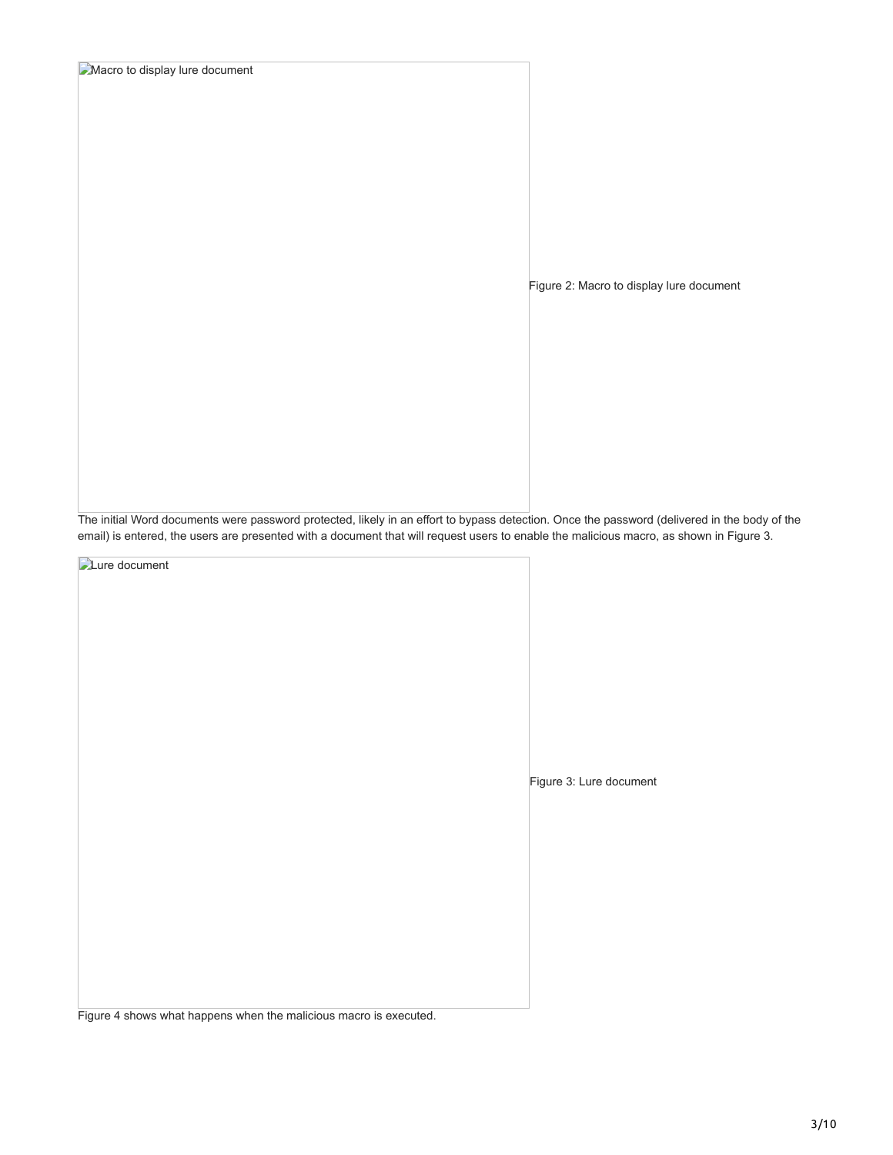**Macro to display lure document** 

Figure 2: Macro to display lure document

The initial Word documents were password protected, likely in an effort to bypass detection. Once the password (delivered in the body of the email) is entered, the users are presented with a document that will request users to enable the malicious macro, as shown in Figure 3.

**Lure** document

Figure 3: Lure document

Figure 4 shows what happens when the malicious macro is executed.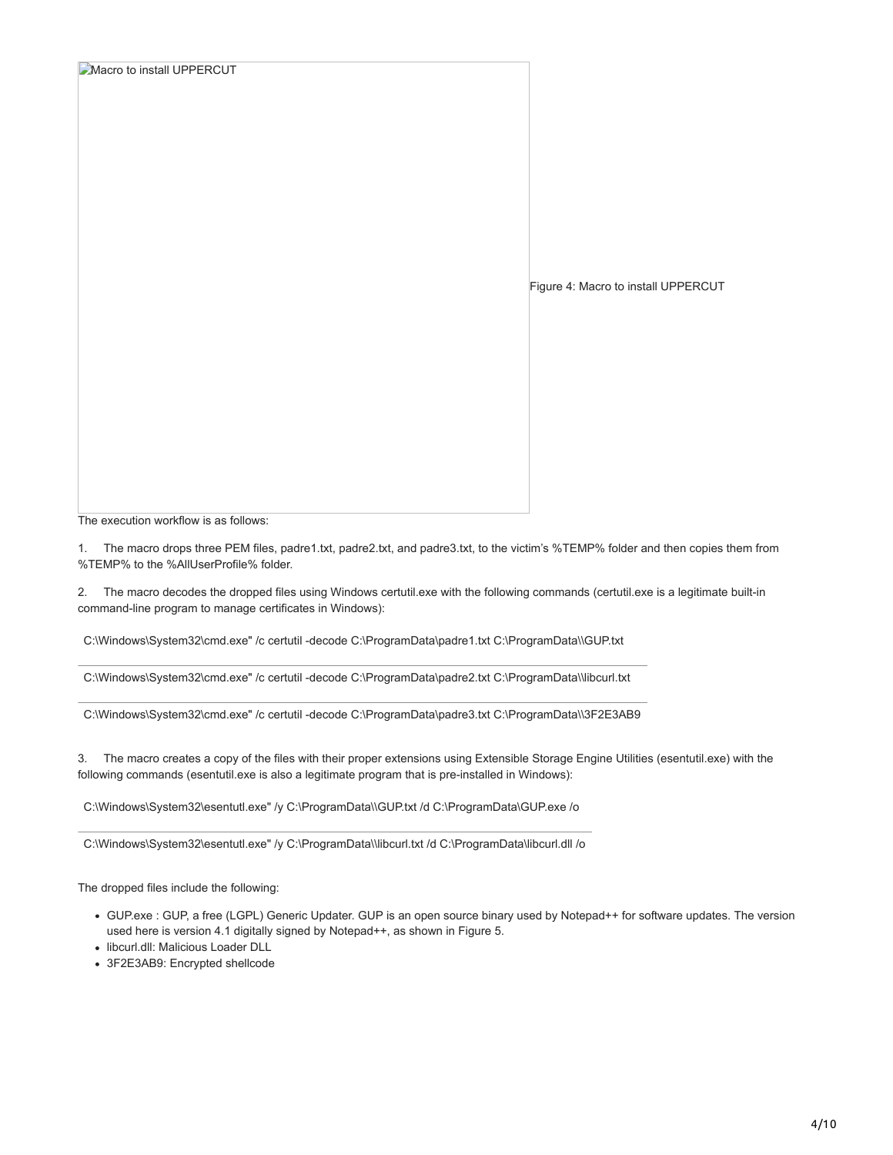| <b>Macro to install UPPERCUT</b> |                                     |
|----------------------------------|-------------------------------------|
|                                  |                                     |
|                                  |                                     |
|                                  |                                     |
|                                  |                                     |
|                                  |                                     |
|                                  |                                     |
|                                  |                                     |
|                                  |                                     |
|                                  |                                     |
|                                  |                                     |
|                                  |                                     |
|                                  |                                     |
|                                  |                                     |
|                                  | Figure 4: Macro to install UPPERCUT |
|                                  |                                     |
|                                  |                                     |
|                                  |                                     |
|                                  |                                     |
|                                  |                                     |
|                                  |                                     |
|                                  |                                     |
|                                  |                                     |
|                                  |                                     |
|                                  |                                     |
|                                  |                                     |
|                                  |                                     |
|                                  |                                     |

The execution workflow is as follows:

1. The macro drops three PEM files, padre1.txt, padre2.txt, and padre3.txt, to the victim's %TEMP% folder and then copies them from %TEMP% to the %AllUserProfile% folder.

2. The macro decodes the dropped files using Windows certutil.exe with the following commands (certutil.exe is a legitimate built-in command-line program to manage certificates in Windows):

C:\Windows\System32\cmd.exe" /c certutil -decode C:\ProgramData\padre1.txt C:\ProgramData\\GUP.txt

C:\Windows\System32\cmd.exe" /c certutil -decode C:\ProgramData\padre2.txt C:\ProgramData\\libcurl.txt

C:\Windows\System32\cmd.exe" /c certutil -decode C:\ProgramData\padre3.txt C:\ProgramData\\3F2E3AB9

3. The macro creates a copy of the files with their proper extensions using Extensible Storage Engine Utilities (esentutil.exe) with the following commands (esentutil.exe is also a legitimate program that is pre-installed in Windows):

C:\Windows\System32\esentutl.exe" /y C:\ProgramData\\GUP.txt /d C:\ProgramData\GUP.exe /o

C:\Windows\System32\esentutl.exe" /y C:\ProgramData\\libcurl.txt /d C:\ProgramData\libcurl.dll /o

The dropped files include the following:

- GUP.exe : GUP, a free (LGPL) Generic Updater. GUP is an open source binary used by Notepad++ for software updates. The version used here is version 4.1 digitally signed by Notepad++, as shown in Figure 5.
- libcurl.dll: Malicious Loader DLL
- 3F2E3AB9: Encrypted shellcode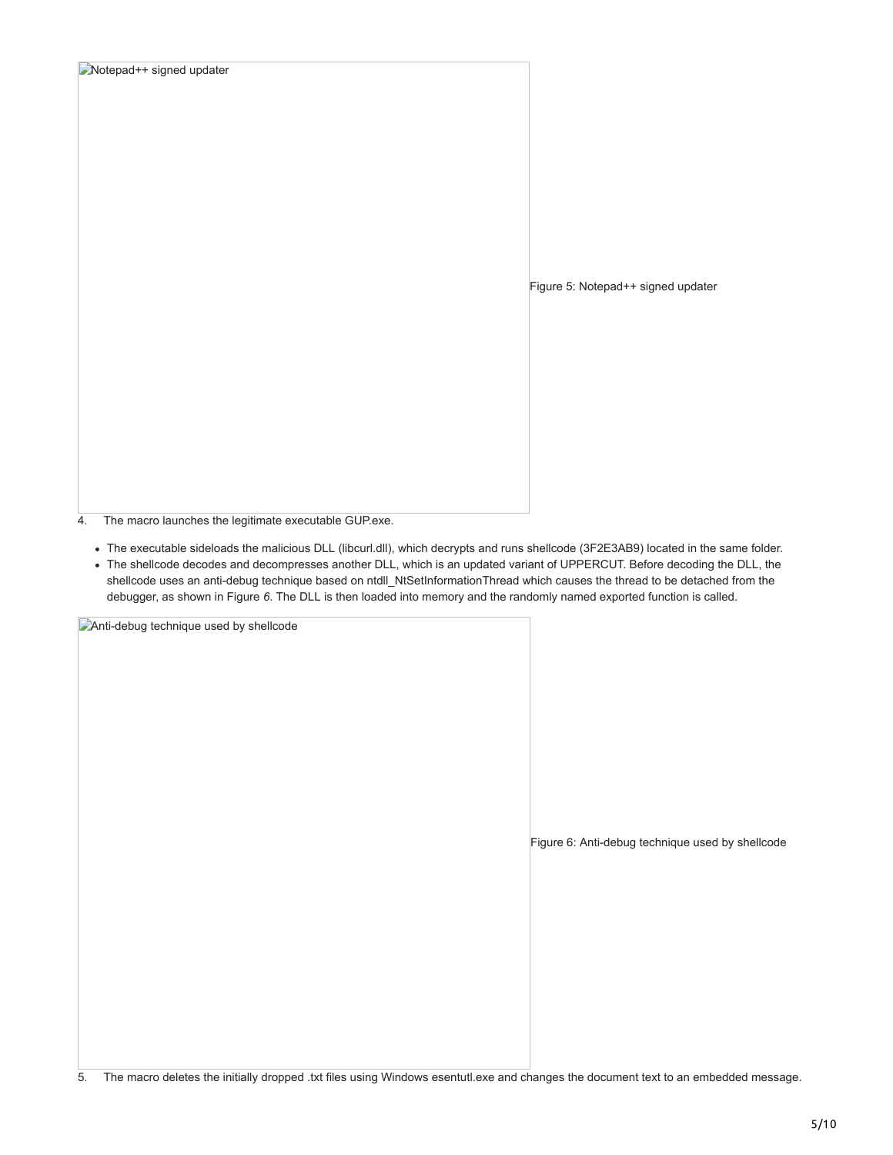| Notepad++ signed updater |                                    |
|--------------------------|------------------------------------|
|                          |                                    |
|                          |                                    |
|                          |                                    |
|                          |                                    |
|                          |                                    |
|                          |                                    |
|                          |                                    |
|                          |                                    |
|                          |                                    |
|                          |                                    |
|                          | Figure 5: Notepad++ signed updater |
|                          |                                    |
|                          |                                    |
|                          |                                    |
|                          |                                    |
|                          |                                    |
|                          |                                    |
|                          |                                    |
|                          |                                    |
|                          |                                    |
|                          |                                    |

4. The macro launches the legitimate executable GUP.exe.

- The executable sideloads the malicious DLL (libcurl.dll), which decrypts and runs shellcode (3F2E3AB9) located in the same folder.
- The shellcode decodes and decompresses another DLL, which is an updated variant of UPPERCUT. Before decoding the DLL, the shellcode uses an anti-debug technique based on ntdll\_NtSetInformationThread which causes the thread to be detached from the debugger, as shown in Figure *6*. The DLL is then loaded into memory and the randomly named exported function is called.

**Anti-debug technique used by shellcode** 

Figure 6: Anti-debug technique used by shellcode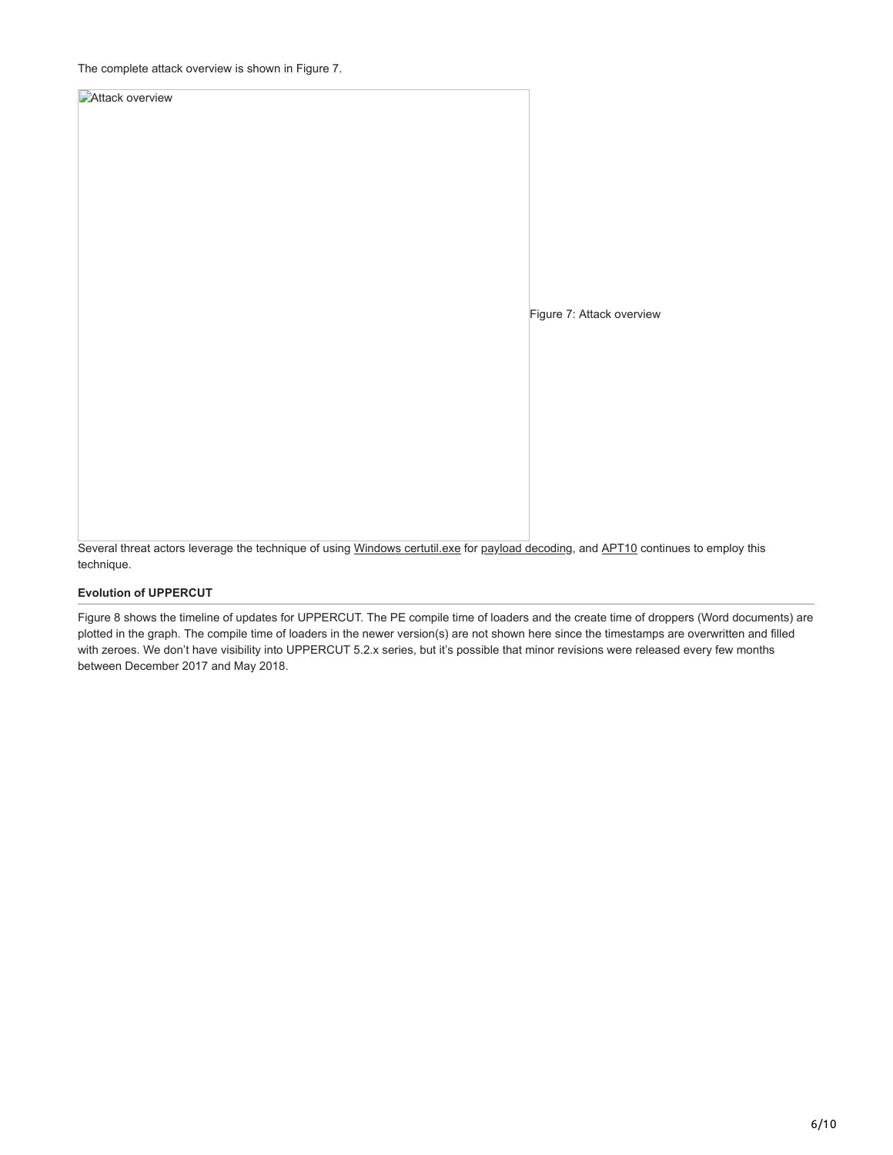**Attack overview** 

Figure 7: Attack overview

Several threat actors leverage the technique of using [Windows certutil.exe](https://www.fireeye.com/resources/targeted-attack-in-middle-east-by-apt34) for [payload decoding](https://securelist.com/apt-trends-report-q2-2017/79332/), and [APT10](https://www.pwc.co.uk/cyber-security/pdf/cloud-hopper-annex-b-final.pdf) continues to employ this technique.

#### **Evolution of UPPERCUT**

Figure 8 shows the timeline of updates for UPPERCUT. The PE compile time of loaders and the create time of droppers (Word documents) are plotted in the graph. The compile time of loaders in the newer version(s) are not shown here since the timestamps are overwritten and filled with zeroes. We don't have visibility into UPPERCUT 5.2.x series, but it's possible that minor revisions were released every few months between December 2017 and May 2018.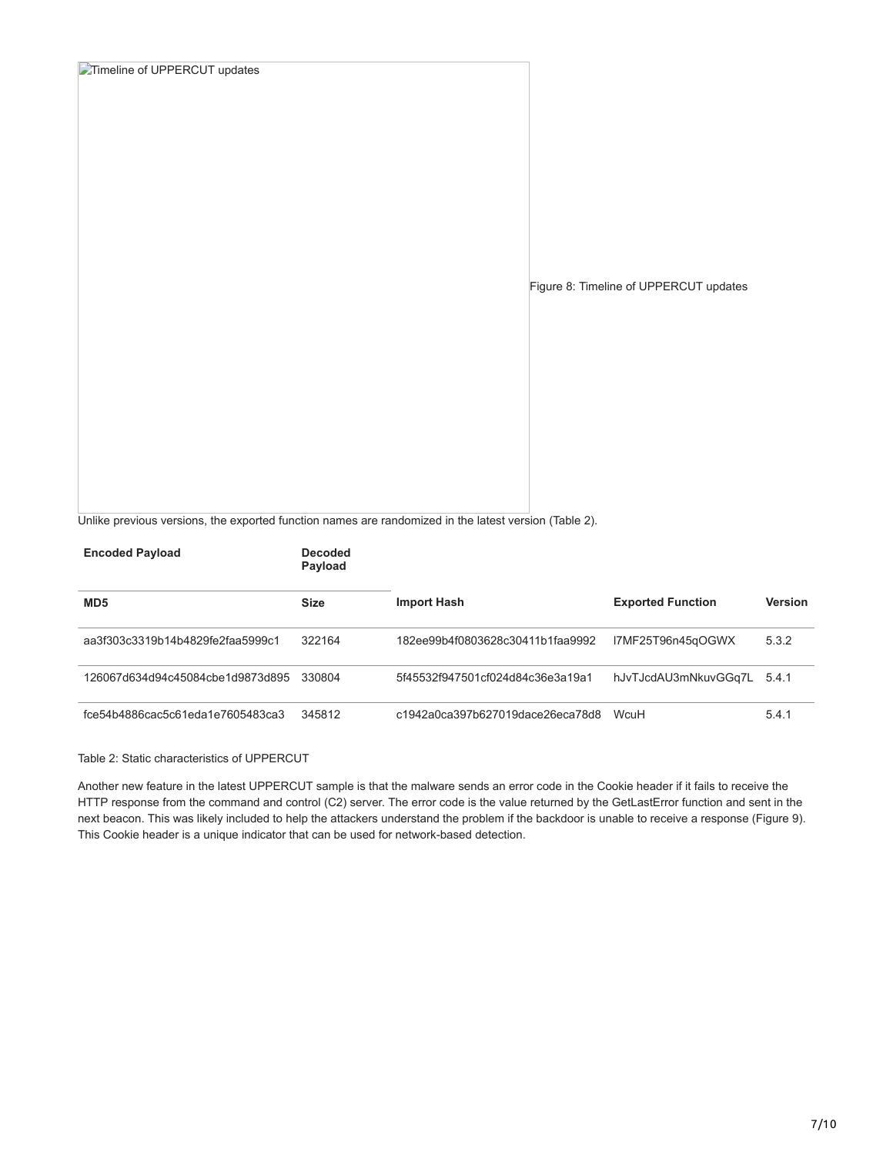**Timeline of UPPERCUT updates** Figure 8: Timeline of UPPERCUT updates

Unlike previous versions, the exported function names are randomized in the latest version (Table 2).

| <b>Encoded Payload</b>           | <b>Decoded</b><br>Payload |                                  |                          |                |
|----------------------------------|---------------------------|----------------------------------|--------------------------|----------------|
| MD <sub>5</sub>                  | <b>Size</b>               | <b>Import Hash</b>               | <b>Exported Function</b> | <b>Version</b> |
| aa3f303c3319b14b4829fe2faa5999c1 | 322164                    | 182ee99b4f0803628c30411b1faa9992 | I7MF25T96n45qOGWX        | 5.3.2          |
| 126067d634d94c45084cbe1d9873d895 | 330804                    | 5f45532f947501cf024d84c36e3a19a1 | hJvTJcdAU3mNkuvGGq7L     | 5.4.1          |
| fce54b4886cac5c61eda1e7605483ca3 | 345812                    | c1942a0ca397b627019dace26eca78d8 | WeuH                     | 5.4.1          |

#### Table 2: Static characteristics of UPPERCUT

Another new feature in the latest UPPERCUT sample is that the malware sends an error code in the Cookie header if it fails to receive the HTTP response from the command and control (C2) server. The error code is the value returned by the GetLastError function and sent in the next beacon. This was likely included to help the attackers understand the problem if the backdoor is unable to receive a response (Figure 9). This Cookie header is a unique indicator that can be used for network-based detection.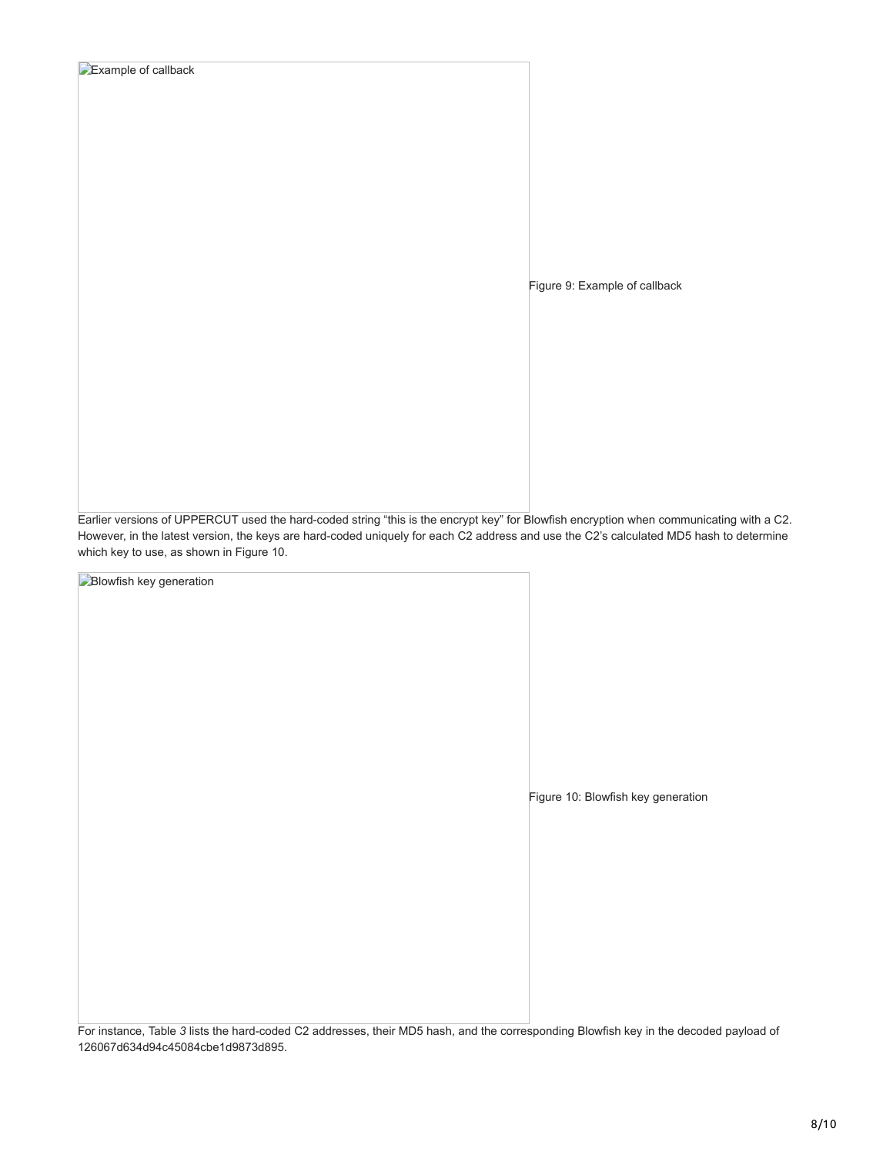| Example of callback |  |  |  |
|---------------------|--|--|--|
|                     |  |  |  |

Figure 9: Example of callback

Earlier versions of UPPERCUT used the hard-coded string "this is the encrypt key" for Blowfish encryption when communicating with a C2. However, in the latest version, the keys are hard-coded uniquely for each C2 address and use the C2's calculated MD5 hash to determine which key to use, as shown in Figure 10.

**Blowfish key generation** Figure 10: Blowfish key generation

For instance, Table *3* lists the hard-coded C2 addresses, their MD5 hash, and the corresponding Blowfish key in the decoded payload of 126067d634d94c45084cbe1d9873d895.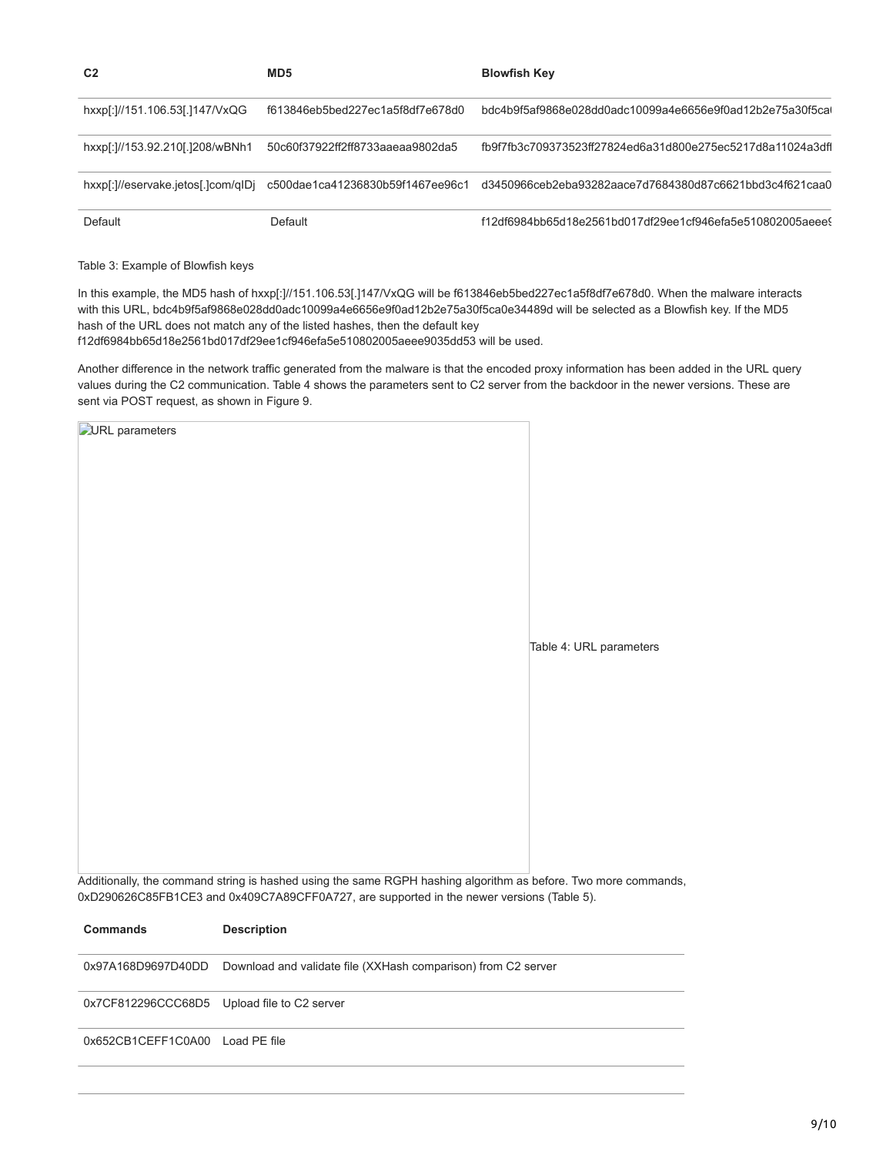| C <sub>2</sub>                     | MD <sub>5</sub>                  | <b>Blowfish Key</b>                                        |
|------------------------------------|----------------------------------|------------------------------------------------------------|
| hxxp[:]//151.106.53[.]147/VxQG     | f613846eb5bed227ec1a5f8df7e678d0 | bdc4b9f5af9868e028dd0adc10099a4e6656e9f0ad12b2e75a30f5cal  |
| hxxp[:]//153.92.210[.]208/wBNh1    | 50c60f37922ff2ff8733aaeaa9802da5 | fb9f7fb3c709373523ff27824ed6a31d800e275ec5217d8a11024a3dfl |
| hxxp[:]//eservake.jetos[.]com/qIDj | c500dae1ca41236830b59f1467ee96c1 | d3450966ceb2eba93282aace7d7684380d87c6621bbd3c4f621caa0    |
| Default                            | Default                          | f12df6984bb65d18e2561bd017df29ee1cf946efa5e510802005aeee   |

Table 3: Example of Blowfish keys

In this example, the MD5 hash of hxxp[:]//151.106.53[.]147/VxQG will be f613846eb5bed227ec1a5f8df7e678d0. When the malware interacts with this URL, bdc4b9f5af9868e028dd0adc10099a4e6656e9f0ad12b2e75a30f5ca0e34489d will be selected as a Blowfish key. If the MD5 hash of the URL does not match any of the listed hashes, then the default key f12df6984bb65d18e2561bd017df29ee1cf946efa5e510802005aeee9035dd53 will be used.

Another difference in the network traffic generated from the malware is that the encoded proxy information has been added in the URL query values during the C2 communication. Table 4 shows the parameters sent to C2 server from the backdoor in the newer versions. These are sent via POST request, as shown in Figure 9.

| <b>DURL</b> parameters |  |  |                                                                                                                |
|------------------------|--|--|----------------------------------------------------------------------------------------------------------------|
|                        |  |  |                                                                                                                |
|                        |  |  |                                                                                                                |
|                        |  |  |                                                                                                                |
|                        |  |  |                                                                                                                |
|                        |  |  |                                                                                                                |
|                        |  |  |                                                                                                                |
|                        |  |  |                                                                                                                |
|                        |  |  |                                                                                                                |
|                        |  |  | Table 4: URL parameters                                                                                        |
|                        |  |  |                                                                                                                |
|                        |  |  |                                                                                                                |
|                        |  |  |                                                                                                                |
|                        |  |  |                                                                                                                |
|                        |  |  |                                                                                                                |
|                        |  |  |                                                                                                                |
|                        |  |  |                                                                                                                |
|                        |  |  |                                                                                                                |
|                        |  |  |                                                                                                                |
|                        |  |  | Additionally, the command string is hashed using the same RGPH hashing algorithm as before. Two more commands, |

**Commands Description** 0x97A168D9697D40DD Download and validate file (XXHash comparison) from C2 server 0x7CF812296CCC68D5 Upload file to C2 server 0x652CB1CEFF1C0A00 Load PE file